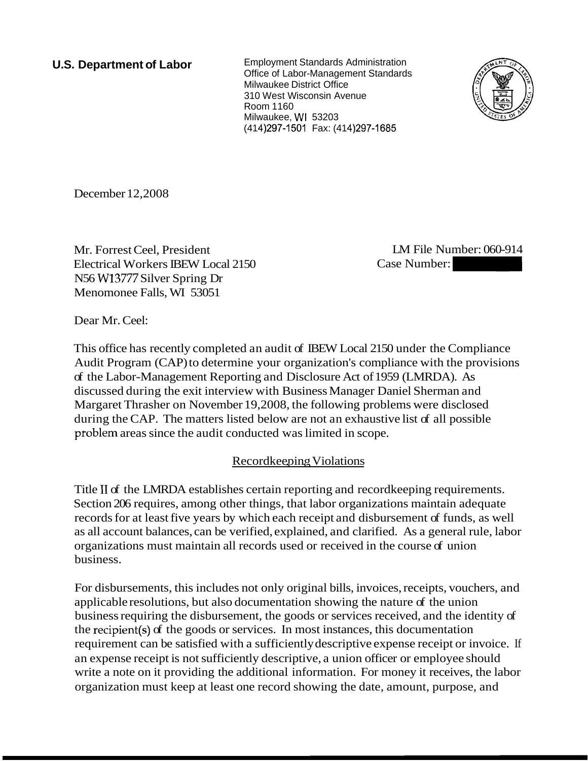### **U.S. Department of Labor**

Employment Standards Administration Office of Labor-Management Standards Milwaukee District Office 310 West Wisconsin Avenue Room 1 160 Milwaukee, WI 53203 (414) 297-1501 Fax: (414) 297-1685



December 12,2008

Mr. Forrest Ceel, President Electrical Workers IBEW Local 2150 N56 W13777 Silver Spring Dr Menomonee Falls, WI 53051

LM File Number: 060-914

Dear Mr. Ceel:

This office has recently completed an audit of IBEW Local 2150 under the Compliance Audit Program (CAP) to determine your organization's compliance with the provisions of the Labor-Management Reporting and Disclosure Act of 1959 (LMRDA). As discussed during the exit interview with Business Manager Daniel Sherman and Margaret Thrasher on November 19,2008, the following problems were disclosed during the CAP. The matters listed below are not an exhaustive list of all possible problem areas since the audit conducted was limited in scope.

# Recordkeeping Violations

Title I1 of the LMRDA establishes certain reporting and recordkeeping requirements. Section 206 requires, among other things, that labor organizations maintain adequate records for at least five years by which each receipt and disbursement of funds, as well as all account balances, can be verified, explained, and clarified. As a general rule, labor organizations must maintain all records used or received in the course of union business.

For disbursements, this includes not only original bills, invoices, receipts, vouchers, and applicable resolutions, but also documentation showing the nature of the union business requiring the disbursement, the goods or services received, and the identity of the recipient(s) of the goods or services. In most instances, this documentation requirement can be satisfied with a sufficiently descriptive expense receipt or invoice. If an expense receipt is not sufficiently descriptive, a union officer or employee should write a note on it providing the additional information. For money it receives, the labor organization must keep at least one record showing the date, amount, purpose, and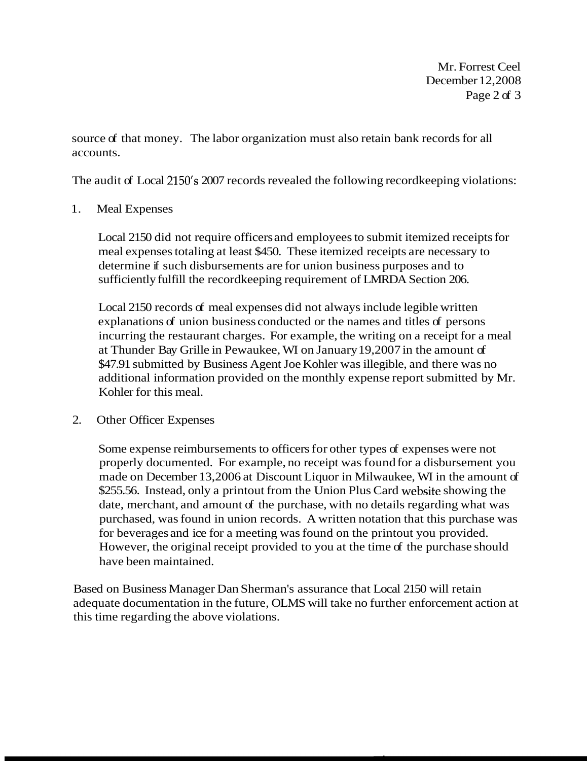Mr. Forrest Ceel December 12,2008 Page 2 of 3

source of that money. The labor organization must also retain bank records for all accounts.

The audit of Local 2150's 2007 records revealed the following record keeping violations:

### 1. Meal Expenses

Local 2150 did not require officers and employees to submit itemized receipts for meal expenses totaling at least \$450. These itemized receipts are necessary to determine if such disbursements are for union business purposes and to sufficiently fulfill the recordkeeping requirement of LMRDA Section 206.

Local 2150 records of meal expenses did not always include legible written explanations of union business conducted or the names and titles of persons incurring the restaurant charges. For example, the writing on a receipt for a meal at Thunder Bay Grille in Pewaukee, WI on January 19,2007 in the amount of \$47.91 submitted by Business Agent Joe Kohler was illegible, and there was no additional information provided on the monthly expense report submitted by Mr. Kohler for this meal.

#### 2. Other Officer Expenses

Some expense reimbursements to officers for other types of expenses were not properly documented. For example, no receipt was found for a disbursement you made on December 13,2006 at Discount Liquor in Milwaukee, WI in the amount of \$255.56. Instead, only a printout from the Union Plus Card website showing the date, merchant, and amount of the purchase, with no details regarding what was purchased, was found in union records. A written notation that this purchase was for beverages and ice for a meeting was found on the printout you provided. However, the original receipt provided to you at the time of the purchase should have been maintained.

Based on Business Manager Dan Sherman's assurance that Local 2150 will retain adequate documentation in the future, OLMS will take no further enforcement action at this time regarding the above violations.